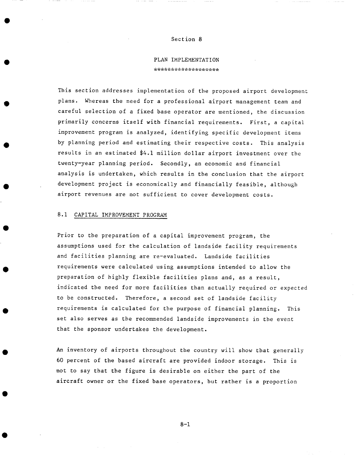## Section 8

# **PLAN** IMPLEMENTATION المحاولة والمحاولة والمتحال والمتواطئ والمحاولة والمحاولة والمحاولة والمحاولة والمحاولة والمحاولة والمحاولة والمحاولة

This section addresses implementation of the proposed airport development plans. Whereas the need for a professional airport management team and careful selection of a fixed base operator are mentioned, the discussion primarily concerns itself with financial requirements. First, a capital improvement program is analyzed, identifying specific development items by planning period and estimating their respective costs. This analysis results in an estimated \$4.1 million dollar airport investment over the twenty-year planning period. Secondly, an economic and financial analysis is undertaken, which results in the conclusion that the airport development project is economically and financially feasible, although airport revenues are not sufficient to cover development costs.

#### 8.1 CAPITAL IMPROVEMENT PROGRAM

Prior to the preparation of a capital improvement program, the assumptions used for the calculation of landside facility requirements and facilities planning are re-evaluated. Landside facilities requirements were calculated using assumptions intended to allow the preparation of highly flexible facilities plans and, as a result, indicated the need for more facilities than actually required or expected to be constructed. Therefore, a second set of landside facility requirements is calculated for the purpose of financial planning. This set also serves as the recommended landside improvements in the event that the sponsor undertakes the development.

An inventory of airports throughout the country will show that generally 60 percent of the based aircraft are provided indoor storage. This is not to say that the figure is desirable on either the part of the aircraft owner or the fixed base operators, but rather is a proportion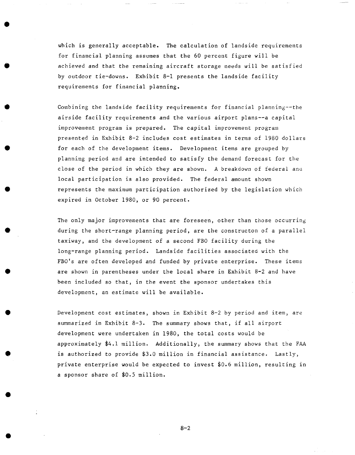which is generally acceptable. The calculation of landside requirements for financial planning assumes that the 60 percent figure will be achieved and that the remaining aircraft storage needs will be satisfied by outdoor tie-downs. Exhibit 8-1 presents the landside facility requirements for financial planning.

Combining the landside facility requirements for financial planning--the airside facility requirements and the various airport plans--a capital improvement program is prepared. The capital improvement program presented in Exhibit 8-2 includes cost estimates in terms of 1980 dollars for each of the development items. Development items are grouped by planning period and are intended to satisfy the demand forecast for the close of the period in which they are shown. A breakdown of federal and local participation is also provided. The federal amount shown represents the maximum participation authorized by the legislation which expired in October 1980, or 90 percent.

The only major improvements that are foreseen, other than those occurring during the short-range planning period, are the constructon of a parallel taxiway, and the development of a second FBO facility during the long-range planning period. Landside facilities associated with the FBO's are often developed and funded by private enterprise. These items are shown in parentheses under the local share in Exhibit 8-2 and have been included so that, in the event the sponsor undertakes this development, an estimate will be available.

Development cost estimates, shown in Exhibit 8-2 by period and item, are summarized in Exhibit 8-3. The summary shows that, if all airport development were undertaken in 1980, the total costs would be approximately \$4.1 million. Additionally, the summary shows that the FAA is authorized to provide \$3.0 million in financial assistance. Lastly, private enterprise would be expected to invest \$0.6 million, resulting in a sponsor share of \$0.5 million.

 $8 - 2$ 

**O**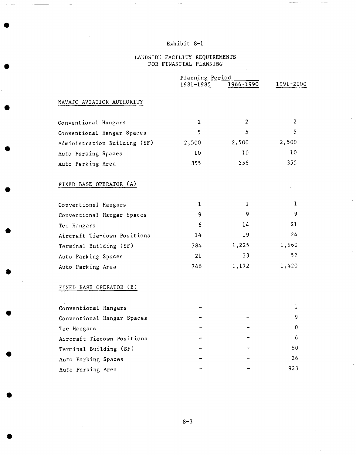### LANDSIDE FACILITY REQUIREMENTS FOR FINANCIAL PLANNING

|                              | Planning Period |                  |                |
|------------------------------|-----------------|------------------|----------------|
|                              | 1981-1985       | 1986-1990        | 1991-2000      |
| NAVAJO AVIATION AUTHORITY    |                 |                  |                |
| Conventional Hangars         | $\overline{2}$  | $\overline{2}$   | $\overline{2}$ |
| Conventional Hangar Spaces   | 5               | 5                | 5              |
| Administration Building (SF) | 2,500           | 2,500            | 2,500          |
| Auto Parking Spaces          | 10              | 10 <sub>10</sub> | 10             |
| Auto Parking Area            | 355             | 355              | 355            |
| FIXED BASE OPERATOR (A)      |                 |                  |                |
| Conventional Hangars         | 1               | 1                | 1              |
| Conventional Hangar Spaces   | 9               | 9                | 9              |
| Tee Hangars                  | 6               | 14               | 21             |
| Aircraft Tie-down Positions  | 14              | 19               | 24             |
| Terminal Building (SF)       | 784             | 1,225            | 1,960          |
| Auto Parking Spaces          | 21              | 33               | 52             |
| Auto Parking Area            | 746             | 1,172            | 1,420          |
| FIXED BASE OPERATOR (B)      |                 |                  |                |
| Conventional Hangars         |                 |                  | ı.             |
| Conventional Hangar Spaces   |                 |                  | 9              |
| Tee Hangars                  |                 |                  | 0              |
| Aircraft Tiedown Positions   |                 |                  | 6              |
| Terminal Building (SF)       |                 |                  | 80             |
| Auto Parking Spaces          |                 |                  | 26             |
| Auto Parking Area            |                 |                  | 923            |
|                              |                 |                  |                |

**O** 

**O** 

**O** 

**O** 

**O**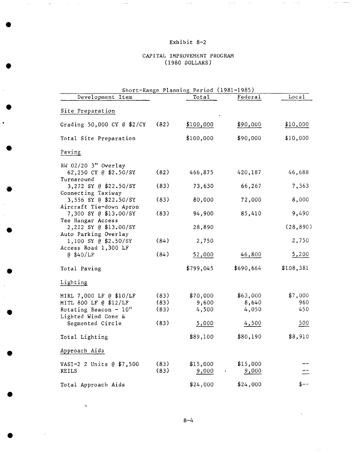## CAPITAL IMPROVEMENT PROGRAM (1980 DOLLARS)

| Short-Range Planning Period (1981-1985)          |      |           |           |           |  |  |
|--------------------------------------------------|------|-----------|-----------|-----------|--|--|
| Development Item                                 |      | Total     | Federal   | Local     |  |  |
| Site Preparation                                 |      |           |           |           |  |  |
| Grading 50,000 CY @ \$2/CY                       | (82) | \$100,000 | \$90,000  | \$10,000  |  |  |
| Total Site Preparation                           |      | \$100,000 | \$90,000  | \$10,000  |  |  |
| Paving                                           |      |           |           |           |  |  |
| RW 02/20 3" Overlay                              |      |           |           |           |  |  |
| 62,250 CY @ \$2.50/SY<br>Turnaround              | (82) | 466,875   | 420,187   | 46,688    |  |  |
| 3,272 SY @ \$22.50/SY<br>Connecting Taxiway      | (83) | 73,630    | 66,267    | 7,363     |  |  |
| 3,556 SY @ \$22.50/SY<br>Aircraft Tie-down Apron | (83) | 80,000    | 72,000    | 8,000     |  |  |
| 7,300 SY @ \$13.00/SY                            | (83) | 94,900    | 85,410    | 9,490     |  |  |
| Tee Hangar Access<br>2,222 SY @ \$13.00/SY       |      | 28,890    |           | (28, 890) |  |  |
| Auto Parking Overlay<br>1,100 SY @ \$2.50/SY     | (84) | 2,750     |           | 2,750     |  |  |
| Access Road 1,300 LF<br>@ \$40/LF                | (84) | 52,000    | 46,800    | 5,200     |  |  |
| Total Paving                                     |      | \$799,045 | \$690,664 | \$108,381 |  |  |
| Lighting                                         |      |           |           |           |  |  |
| MIRL 7,000 LF @ \$10/LF                          | (83) | \$70,000  | \$63,000  | \$7,000   |  |  |
| MITL 800 LF @ \$12/LF                            | (83) | 9,600     | 8,640     | 960       |  |  |
| Rotating Beacon - $10''$                         | (83) | 4,500     | 4,050     | 450       |  |  |
| Lighted Wind Cone &<br>Segmented Circle          | (83) | 5,000     | 4,500     | 500       |  |  |
| Total Lighting                                   |      | \$89,100  | \$80,190  | \$8,910   |  |  |
| Approach Aids                                    |      |           |           |           |  |  |
| VASI-2 2 Units @ \$7,500                         | (83) | \$15,000  | \$15,000  |           |  |  |
| <b>REILS</b>                                     | (83) | 9,000     | 9,000     |           |  |  |
| Total Approach Aids                              |      | \$24,000  | \$24,000  | \$––      |  |  |

**Q** 

**O** 

**Q** 

**O**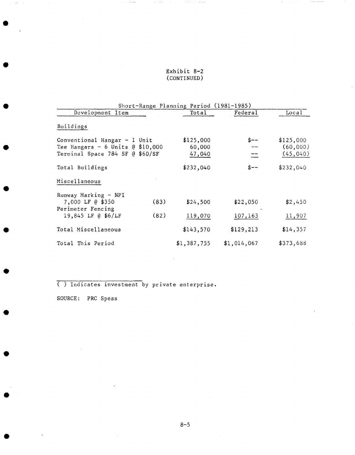## Exhibit 8-2 (CONTINUED)

 $\mathcal{L}^{\mathcal{L}}$  is the set of the constraints

 $\tau_{\rm{max}} = 0.00$ 

|                                                                                                         |      | Short-Range Planning Period (1981-1985) |             |                                    |
|---------------------------------------------------------------------------------------------------------|------|-----------------------------------------|-------------|------------------------------------|
| Development Item                                                                                        |      | Total                                   | Federal     | Local                              |
| Buildings                                                                                               |      |                                         |             |                                    |
| Conventional Hangar $-1$ Unit<br>Tee Hangars $-6$ Units $@$ \$10,000<br>Terminal Space 784 SF @ \$60/SF |      | \$125,000<br>60,000<br>47,040           | \$--        | \$125,000<br>(60,000)<br>(45, 040) |
| Total Buildings                                                                                         |      | \$232,040                               | $S --$      | \$232,040                          |
| Miscellaneous                                                                                           |      |                                         |             |                                    |
| Runway Marking - NPI<br>7,000 LF @ \$350<br>Perimeter Fencing                                           | (83) | \$24,500                                | \$22,050    | \$2,450                            |
| 19,845 LF @ \$6/LF                                                                                      | (82) | 119,070                                 | 107,163     | 11,907                             |
| Total Miscellaneous                                                                                     |      | \$143,570                               | \$129, 213  | \$14,357                           |
| Total This Period                                                                                       |      | \$1,387,755                             | \$1,014,067 | \$373,688                          |

( ) Indicates investment by private enterprise.

SOURCE: PRC Speas

**O**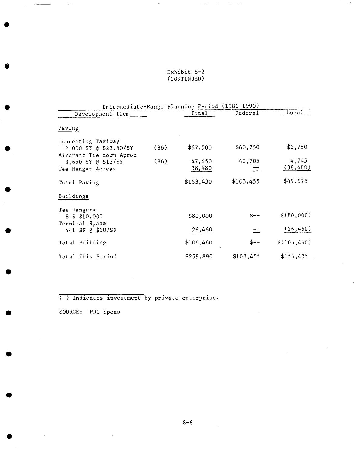## Exhibit 8-2 (CONTINUED)

|                                                                        |      | Intermediate-Range Planning Period (1986-1990) |           |                    |
|------------------------------------------------------------------------|------|------------------------------------------------|-----------|--------------------|
| Development Item                                                       |      | Total                                          | Federal   | Local              |
| Paving                                                                 |      |                                                |           |                    |
| Connecting Taxiway<br>2,000 SY @ \$22.50/SY<br>Aircraft Tie-down Apron | (86) | \$67,500                                       | \$60,750  | \$6,750            |
| 3,650 SY @ \$13/SY<br>Tee Hangar Access                                | (86) | 47,450<br>38,480                               | 42,705    | 4,745<br>(38, 480) |
| Total Paving                                                           |      | \$153,430                                      | \$103,455 | \$49,975           |
| Buildings                                                              |      |                                                |           |                    |
| Tee Hangars<br>8 @ \$10,000                                            |      | \$80,000                                       | \$--      | \$(80,000)         |
| Terminal Space<br>441 SF @ \$60/SF                                     |      | 26,460                                         |           | (26, 460)          |
| Total Building                                                         |      | \$106,460                                      | \$--      | \$(106, 460)       |
| Total This Period                                                      |      | \$259,890                                      | \$103,455 | \$156,435          |

( ) Indicates investment by private enterprise.

SOURCE: PRC Speas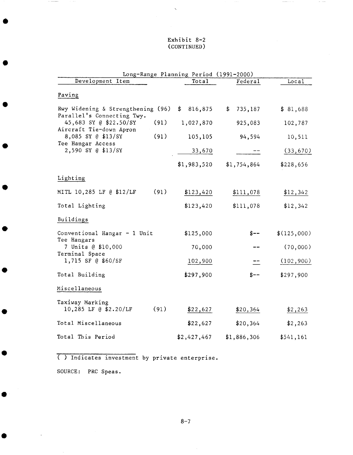### Exhibit 8-2 (CONTINUED)

 $\ddot{\phantom{0}}$ 

 $\begin{aligned} &\text{otherwise} &\times\text{min}\left\{ \left\vert \mathcal{H}_{\mathcal{A}}\right\vert \right\} \end{aligned}$ 

 $\sim$   $\sim$ 

| Total       | Federal                                                           | Local                                  |
|-------------|-------------------------------------------------------------------|----------------------------------------|
|             |                                                                   |                                        |
| \$816,875   | \$<br>735,187                                                     | \$81,688                               |
| 1,027,870   | 925,083                                                           | 102,787                                |
| 105,105     | 94,594                                                            | 10,511                                 |
| 33,670      |                                                                   | (33, 670)                              |
| \$1,983,520 | \$1,754,864                                                       | \$228,656                              |
|             |                                                                   |                                        |
| \$123,420   | \$111,078                                                         | \$12,342                               |
| \$123,420   | \$111,078                                                         | \$12,342                               |
|             |                                                                   |                                        |
| \$125,000   | S--                                                               | \$(125,000)                            |
| 70,000      |                                                                   | (70,000)                               |
| 102,900     |                                                                   | (102, 900)                             |
| \$297,900   | $$--$                                                             | \$297,900                              |
|             |                                                                   |                                        |
| \$22,627    | \$20,364                                                          | \$2,263                                |
| \$22,627    | \$20,364                                                          | \$2,263                                |
| \$2,427,467 | \$1,886,306                                                       | \$541,161                              |
|             | Rwy Widening & Strengthening (96)<br>(91)<br>(91)<br>(91)<br>(91) | Long-Range Planning Period (1991-2000) |

( ) Indicates investment by private enterprise.

SOURCE: PRC Speas.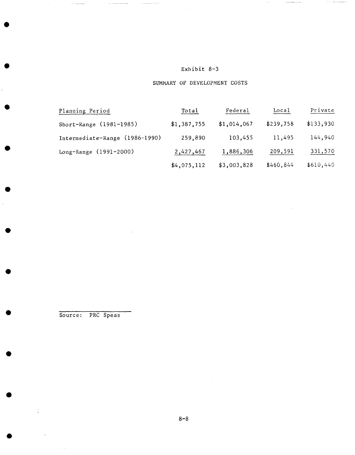# SUMMARY OF DEVELOPMENT COSTS

| Planning Period                | Total       | Federal     | Local     | Private   |
|--------------------------------|-------------|-------------|-----------|-----------|
| Short-Range (1981-1985)        | \$1,387,755 | \$1,014,067 | \$239,758 | \$133,930 |
| Intermediate-Range (1986-1990) | 259,890     | 103,455     | 11,495    | 144,940   |
| Long-Range (1991-2000)         | 2,427,467   | 1,886,306   | 209,591   | 331,570   |
|                                | \$4,075,112 | \$3,003,828 | \$460,844 | \$610,440 |

Source: PRC Speas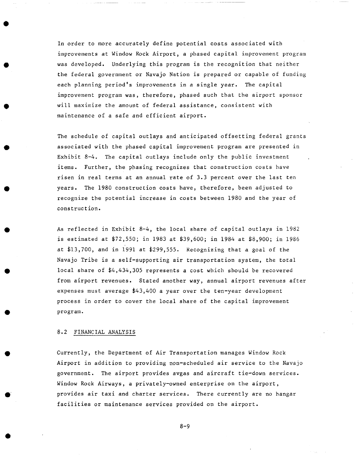In order to more accurately define potential costs associated with improvements at Window Rock Airport, a phased capital improvement program was developed. Underlying this program is the recognition that neither the federal government or Navajo Nation is prepared or capable of funding each planning period's improvements in a single year. The capital improvement program was, therefore, phased such that the airport sponsor will maximize the amount of federal assistance, consistent with maintenance of a safe and efficient airport.

The schedule of capital outlays and anticipated offsetting federal grants associated with the phased capital improvement program are presented in Exhibit 8-4. The capital outlays include only the public investment items. Further, the phasing recognizes that construction costs have risen in real terms at an annual rate of 3.3 percent over the last ten years. The 1980 construction costs have, therefore, been adjusted to recognize the potential increase in costs between 1980 and the year of construction.

As reflected in Exhibit 8-4, the local share of capital outlays in 1982 is estimated at \$72,550; in 1983 at \$39,600; in 1984 at \$8,900; in 1986 at \$13,700, and in 1991 at \$299,555. Recognizing that a goal of the Navajo Tribe is a self-supporting air transportation system, the total local share of \$4,434,305 represents a cost which should be recovered from airport revenues. Stated another way, annual airport revenues after expenses must average \$43,400 a year over the ten-year development process in order to cover the local share of the capital improvement program.

## 8.2 FINANCIAL ANALYSIS

Currently, the Department of Air Transportation manages Window Rock Airport in addition to providing non-scheduled air service to the Navajo government. The airport provides avgas and aircraft tie-down services. Window Rock Airways, a privately-owned enterprise on the airport, provides air taxi and charter services. There currently are no hangar facilities or maintenance services provided on the airport.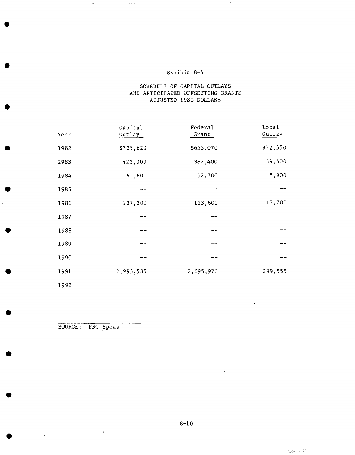## SCHEDULE OF CAPITAL OUTLAYS AND ANTICIPATED OFFSETTING GRANTS ADJUSTED 1980 DOLLARS

| Year | Capital<br>Outlay | Federal<br>Grant | Local<br>Outlay |
|------|-------------------|------------------|-----------------|
| 1982 | \$725,620         | \$653,070        | \$72,550        |
| 1983 | 422,000           | 382,400          | 39,600          |
| 1984 | 61,600            | 52,700           | 8,900           |
| 1985 |                   |                  |                 |
| 1986 | 137,300           | 123,600          | 13,700          |
| 1987 |                   |                  |                 |
| 1988 |                   |                  |                 |
| 1989 |                   |                  |                 |
| 1990 |                   |                  |                 |
| 1991 | 2,995,535         | 2,695,970        | 299,555         |
| 1992 |                   |                  |                 |

SOURCE: PRC Speas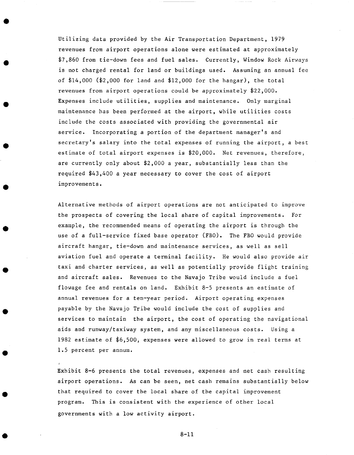Utilizing data provided by the Air Transportation Department, 1979 revenues from airport operations alone were estimated at approximately \$7,860 from tie-down fees and fuel sales. Currently, Window Rock Airways is not charged rental for land or buildings used. Assuming an annual fee of  $$14,000$  ( $$2,000$  for land and  $$12,000$  for the hangar), the total revenues from airport operations could be approximately  $$22,000$ . Expenses include utilities, supplies and maintenance. Only marginal maintenance has been performed at the airport, while utilities costs include the costs associated with providing the governmental air service. Incorporating a portion of the department manager's and secretary's salary into the total expenses of running the airport, a best estimate of total airport expenses is  $$20,000$ . Net revenues, therefore, are currently only about  $$2,000$  a year, substantially less than the required \$43,400 a year necessary to cover the cost of airport improvements.

Alternative methods of airport operations are not anticipated to improve the prospects of covering the local share of capital improvements. For example, the recommended means of operating the airport is through tbe use of a full-service fixed base operator (FBO). The FBO would provide aircraft hangar, tie-down and maintenance services, as well as sell aviation fuel and operate a terminal facility. He would also provide air taxi and charter services, as well as potentially provide flight training and aircraft sales. Revenues to the Navajo Tribe would include a fuel flowage fee and rentals on land. Exhibit 8-5 presents an estimate of annual revenues for a ten-year period. Airport operating expenses payable by the Navajo Tribe would include the cost of supplies and services to maintain the airport, the cost of operating the navigational aids and runway/taxiway system, and any miscellaneous costs. Using a 1982 estimate of \$6,500, expenses were allowed to grow in real terms at 1.5 percent per annum.

Exhibit 8-6 presents the total revenues, expenses and net cash resulting airport operations. As can be seen, net cash remains substantially below that required to cover the local share of the capital improvement program. This is consistent with the experience of other local governments with a low activity airport.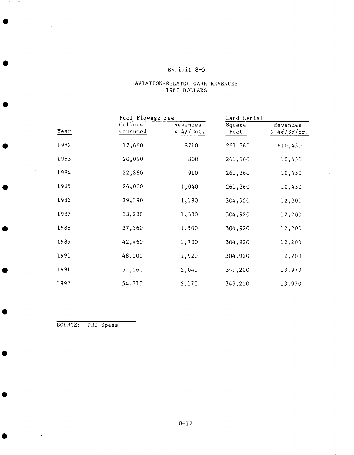#### AVIATION-RELATED CASH 1980 DOLLARS **REVENUES**

|       |                     | Fuel Flowage Fee             |                | Land Rental            |  |
|-------|---------------------|------------------------------|----------------|------------------------|--|
| Year  | Gallons<br>Consumed | Revenues<br>$@4\notin$ /Gal. | Square<br>Feet | Revenues<br>@4¢/SF/Yr. |  |
| 1982  | 17,660              | \$710                        | 261,360        | \$10,450               |  |
| 19831 | 20,090              | 800                          | 261,360        | 10,450                 |  |
| 1984  | 22,860              | 910                          | 261,360        | 10,450                 |  |
| 1985  | 26,000              | 1,040                        | 261,360        | 10,450                 |  |
| 1986  | 29,390              | 1,180                        | 304,920        | 12,200                 |  |
| 1987  | 33,230              | 1,330                        | 304,920        | 12,200                 |  |
| 1988  | 37,560              | 1,500                        | 304,920        | 12,200                 |  |
| 1989  | 42,460              | 1,700                        | 304,920        | 12,200                 |  |
| 1990  | 48,000              | 1,920                        | 304,920        | 12,200                 |  |
| 1991  | 51,060              | 2,040                        | 349,200        | 13,970                 |  |
| 1992  | 54,310              | 2,170                        | 349,200        | 13,970                 |  |

SOURCE: PRC Speas